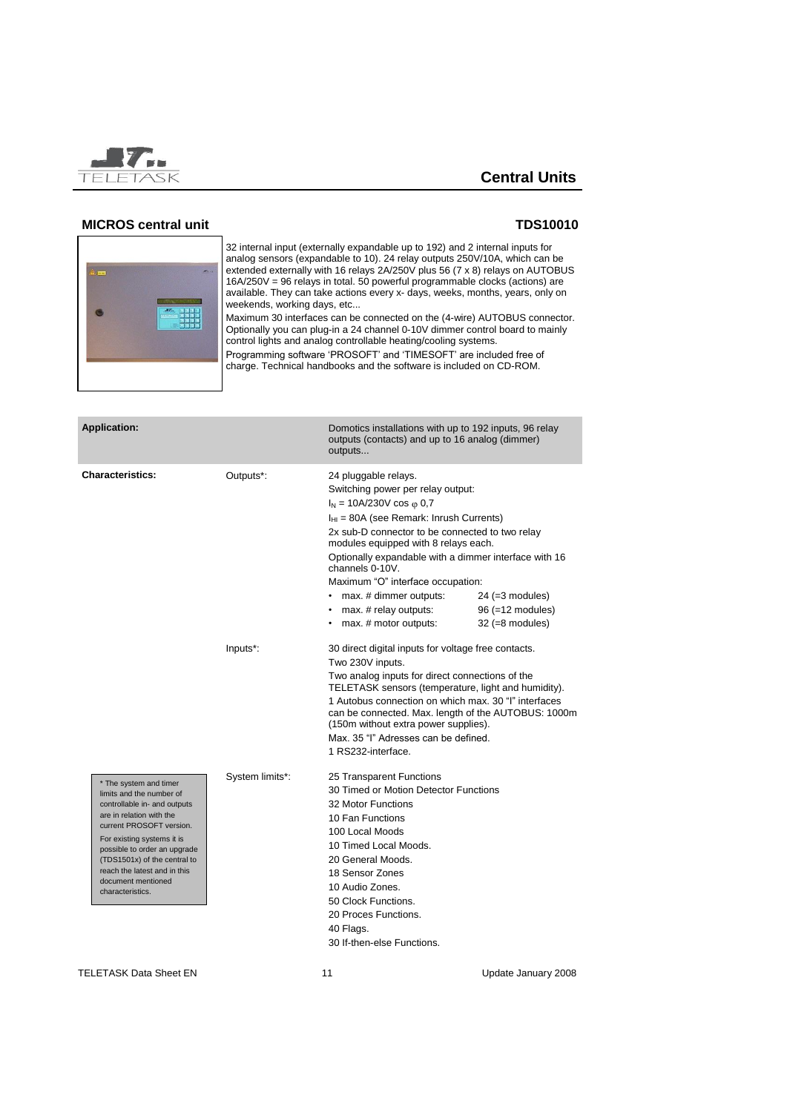

### **MICROS central unit TDS10010**



32 internal input (externally expandable up to 192) and 2 internal inputs for analog sensors (expandable to 10). 24 relay outputs 250V/10A, which can be extended externally with 16 relays 2A/250V plus 56 (7 x 8) relays on AUTOBUS 16A/250V = 96 relays in total. 50 powerful programmable clocks (actions) are available. They can take actions every x- days, weeks, months, years, only on weekends, working days, etc...

Maximum 30 interfaces can be connected on the (4-wire) AUTOBUS connector. Optionally you can plug-in a 24 channel 0-10V dimmer control board to mainly control lights and analog controllable heating/cooling systems. Programming software 'PROSOFT' and 'TIMESOFT' are included free of

charge. Technical handbooks and the software is included on CD-ROM.

| <b>Application:</b>                                                                                                                                                                                                                                                                                                |                 | Domotics installations with up to 192 inputs, 96 relay<br>outputs (contacts) and up to 16 analog (dimmer)<br>outputs                                                                                                                                                                                                                                                                                                                     |                                                            |
|--------------------------------------------------------------------------------------------------------------------------------------------------------------------------------------------------------------------------------------------------------------------------------------------------------------------|-----------------|------------------------------------------------------------------------------------------------------------------------------------------------------------------------------------------------------------------------------------------------------------------------------------------------------------------------------------------------------------------------------------------------------------------------------------------|------------------------------------------------------------|
| <b>Characteristics:</b>                                                                                                                                                                                                                                                                                            | Outputs*:       | 24 pluggable relays.<br>Switching power per relay output:<br>$I_N = 10A/230V \cos \varphi 0.7$<br>$I_{HI}$ = 80A (see Remark: Inrush Currents)<br>2x sub-D connector to be connected to two relay<br>modules equipped with 8 relays each.<br>Optionally expandable with a dimmer interface with 16<br>channels 0-10V.<br>Maximum "O" interface occupation:<br>• max. # dimmer outputs:<br>max. # relay outputs:<br>max. # motor outputs: | $24 (=3$ modules)<br>96 (=12 modules)<br>$32 (=8$ modules) |
|                                                                                                                                                                                                                                                                                                                    | Inputs*:        | 30 direct digital inputs for voltage free contacts.<br>Two 230V inputs.<br>Two analog inputs for direct connections of the<br>TELETASK sensors (temperature, light and humidity).<br>1 Autobus connection on which max, 30 "I" interfaces<br>can be connected. Max. length of the AUTOBUS: 1000m<br>(150m without extra power supplies).<br>Max, 35 "I" Adresses can be defined.<br>1 RS232-interface.                                   |                                                            |
| * The system and timer<br>limits and the number of<br>controllable in- and outputs<br>are in relation with the<br>current PROSOFT version.<br>For existing systems it is<br>possible to order an upgrade<br>(TDS1501x) of the central to<br>reach the latest and in this<br>document mentioned<br>characteristics. | System limits*: | 25 Transparent Functions<br>30 Timed or Motion Detector Functions<br>32 Motor Functions<br>10 Fan Functions<br>100 Local Moods<br>10 Timed Local Moods.<br>20 General Moods.<br>18 Sensor Zones<br>10 Audio Zones.<br>50 Clock Functions.<br>20 Proces Functions.<br>40 Flags.<br>30 If-then-else Functions.                                                                                                                             |                                                            |

TELETASK Data Sheet EN 11 1 1 1 1 1 Update January 2008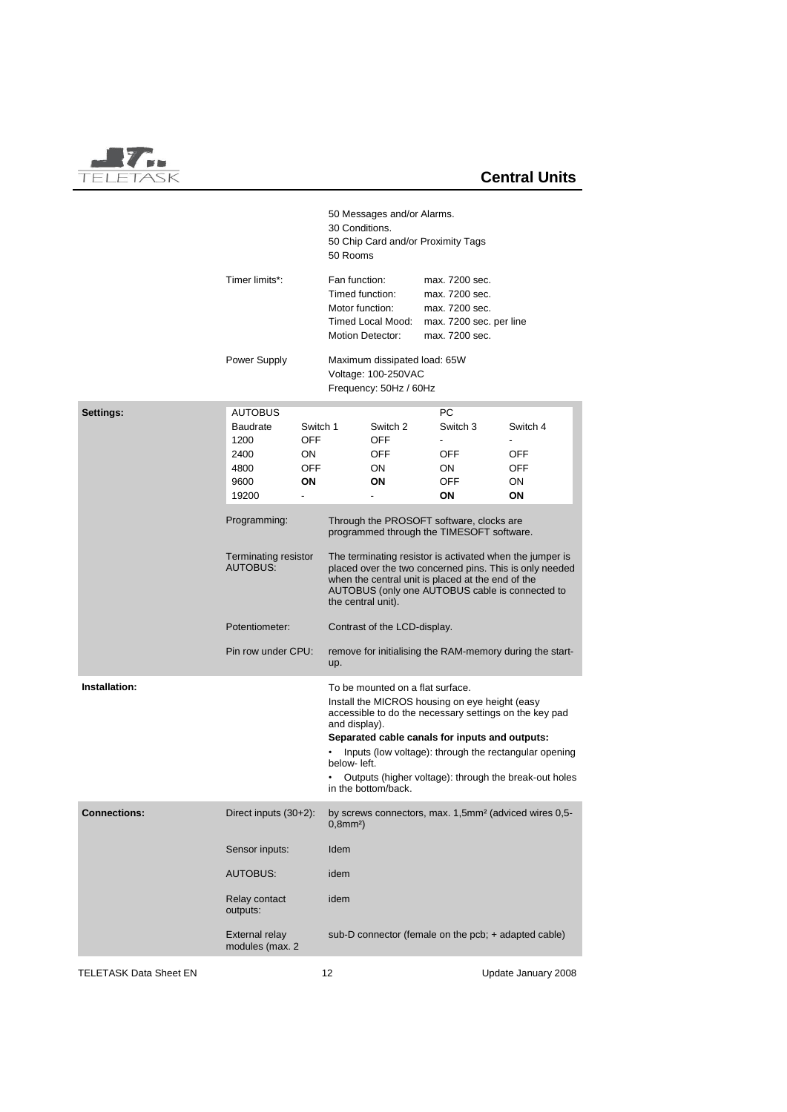

|                        |                                                                     |                                    | 30 Conditions.<br>50 Rooms                                                                                                                                                                                                                        | 50 Messages and/or Alarms.                              | 50 Chip Card and/or Proximity Tags                                                               |                                                                                                                                                                          |  |
|------------------------|---------------------------------------------------------------------|------------------------------------|---------------------------------------------------------------------------------------------------------------------------------------------------------------------------------------------------------------------------------------------------|---------------------------------------------------------|--------------------------------------------------------------------------------------------------|--------------------------------------------------------------------------------------------------------------------------------------------------------------------------|--|
|                        | Timer limits*:                                                      |                                    | Fan function:<br>Timed function:<br>Motor function:                                                                                                                                                                                               | Timed Local Mood:<br><b>Motion Detector:</b>            | max. 7200 sec.<br>max. 7200 sec.<br>max. 7200 sec.<br>max. 7200 sec. per line<br>max. 7200 sec.  |                                                                                                                                                                          |  |
|                        | Power Supply                                                        |                                    | Maximum dissipated load: 65W<br>Voltage: 100-250VAC<br>Frequency: 50Hz / 60Hz                                                                                                                                                                     |                                                         |                                                                                                  |                                                                                                                                                                          |  |
| Settings:              | <b>AUTOBUS</b><br>Baudrate<br>1200<br>2400<br>4800<br>9600<br>19200 | Switch 1<br>OFF<br>ON<br>OFF<br>ΟN |                                                                                                                                                                                                                                                   | Switch 2<br>OFF<br>OFF<br>ON.<br>ON                     | PС<br>Switch 3<br>OFF<br>ON<br><b>OFF</b><br>ΟN                                                  | Switch 4<br>OFF<br>OFF<br>ON<br>ON                                                                                                                                       |  |
|                        | Programming:                                                        |                                    | Through the PROSOFT software, clocks are<br>programmed through the TIMESOFT software.                                                                                                                                                             |                                                         |                                                                                                  |                                                                                                                                                                          |  |
|                        | <b>Terminating resistor</b><br><b>AUTOBUS:</b>                      |                                    | The terminating resistor is activated when the jumper is<br>placed over the two concerned pins. This is only needed<br>when the central unit is placed at the end of the<br>AUTOBUS (only one AUTOBUS cable is connected to<br>the central unit). |                                                         |                                                                                                  |                                                                                                                                                                          |  |
|                        | Potentiometer:                                                      |                                    | Contrast of the LCD-display.                                                                                                                                                                                                                      |                                                         |                                                                                                  |                                                                                                                                                                          |  |
|                        | Pin row under CPU:                                                  |                                    | remove for initialising the RAM-memory during the start-<br>up.                                                                                                                                                                                   |                                                         |                                                                                                  |                                                                                                                                                                          |  |
| Installation:          |                                                                     |                                    | and display).<br>below- left.                                                                                                                                                                                                                     | To be mounted on a flat surface.<br>in the bottom/back. | Install the MICROS housing on eye height (easy<br>Separated cable canals for inputs and outputs: | accessible to do the necessary settings on the key pad<br>Inputs (low voltage): through the rectangular opening<br>Outputs (higher voltage): through the break-out holes |  |
| <b>Connections:</b>    | Direct inputs (30+2):                                               |                                    | by screws connectors, max. 1,5mm <sup>2</sup> (adviced wires 0,5-<br>$0,8$ mm <sup>2</sup> )                                                                                                                                                      |                                                         |                                                                                                  |                                                                                                                                                                          |  |
|                        | Sensor inputs:                                                      |                                    | Idem                                                                                                                                                                                                                                              |                                                         |                                                                                                  |                                                                                                                                                                          |  |
|                        | <b>AUTOBUS:</b>                                                     |                                    | idem                                                                                                                                                                                                                                              |                                                         |                                                                                                  |                                                                                                                                                                          |  |
|                        | Relay contact<br>outputs:                                           |                                    | idem                                                                                                                                                                                                                                              |                                                         |                                                                                                  |                                                                                                                                                                          |  |
|                        | <b>External relay</b><br>modules (max. 2                            |                                    |                                                                                                                                                                                                                                                   |                                                         | sub-D connector (female on the pcb; + adapted cable)                                             |                                                                                                                                                                          |  |
| TELETASK Data Sheet EN |                                                                     |                                    | 12                                                                                                                                                                                                                                                |                                                         |                                                                                                  | Update January 2008                                                                                                                                                      |  |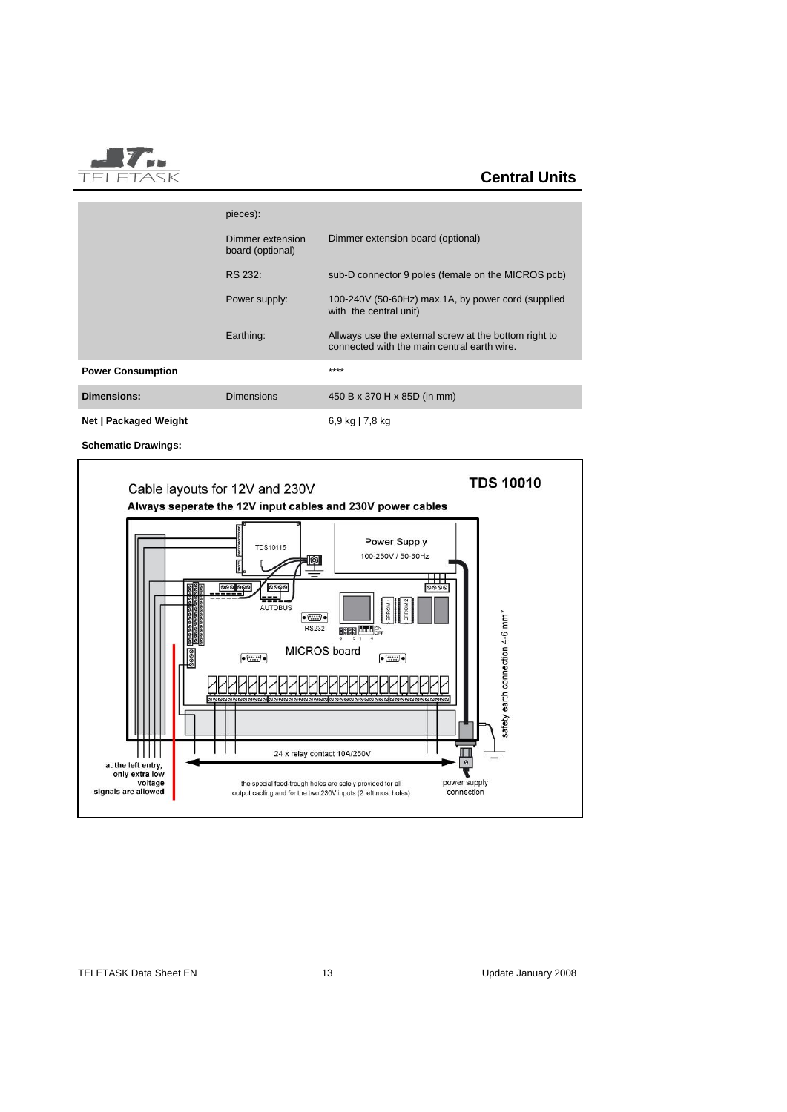

|                          | pieces):                             |                                                                                                      |
|--------------------------|--------------------------------------|------------------------------------------------------------------------------------------------------|
|                          | Dimmer extension<br>board (optional) | Dimmer extension board (optional)                                                                    |
|                          | RS 232:                              | sub-D connector 9 poles (female on the MICROS pcb)                                                   |
|                          | Power supply:                        | 100-240V (50-60Hz) max.1A, by power cord (supplied<br>with the central unit)                         |
|                          | Earthing:                            | Allways use the external screw at the bottom right to<br>connected with the main central earth wire. |
| <b>Power Consumption</b> |                                      | ****                                                                                                 |
| <b>Dimensions:</b>       | <b>Dimensions</b>                    | 450 B x 370 H x 85D (in mm)                                                                          |

**Net | Packaged Weight** 6,9 kg | 7,8 kg

**Schematic Drawings:**